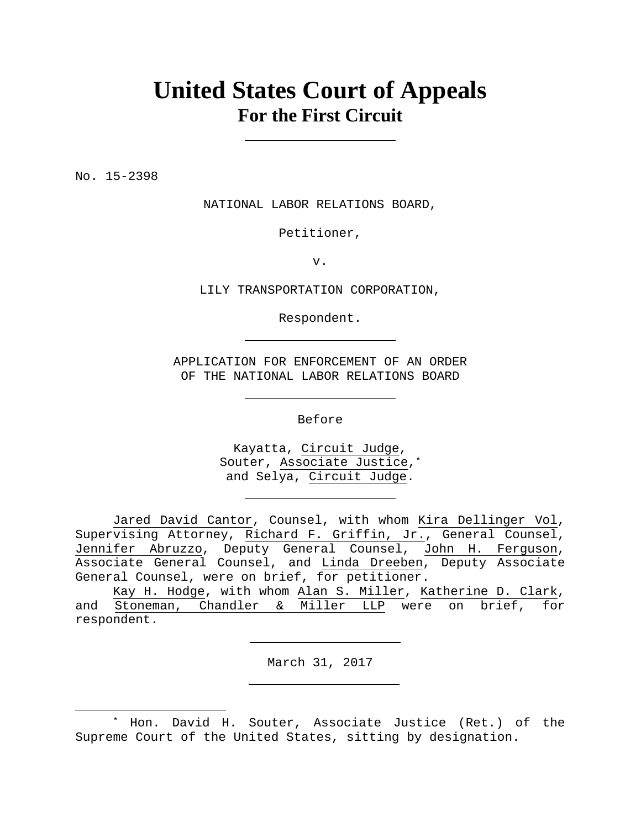# **United States Court of Appeals For the First Circuit**

No. 15-2398

 $\overline{a}$ 

NATIONAL LABOR RELATIONS BOARD,

Petitioner,

v.

LILY TRANSPORTATION CORPORATION,

Respondent.

APPLICATION FOR ENFORCEMENT OF AN ORDER OF THE NATIONAL LABOR RELATIONS BOARD

Before

Kayatta, Circuit Judge, Souter, Associate Justice,\* and Selya, Circuit Judge.

Jared David Cantor, Counsel, with whom Kira Dellinger Vol, Supervising Attorney, Richard F. Griffin, Jr., General Counsel, Jennifer Abruzzo, Deputy General Counsel, John H. Ferguson, Associate General Counsel, and Linda Dreeben, Deputy Associate General Counsel, were on brief, for petitioner.

 Kay H. Hodge, with whom Alan S. Miller, Katherine D. Clark, and Stoneman, Chandler & Miller LLP were on brief, for respondent.

March 31, 2017

<sup>\*</sup> Hon. David H. Souter, Associate Justice (Ret.) of the Supreme Court of the United States, sitting by designation.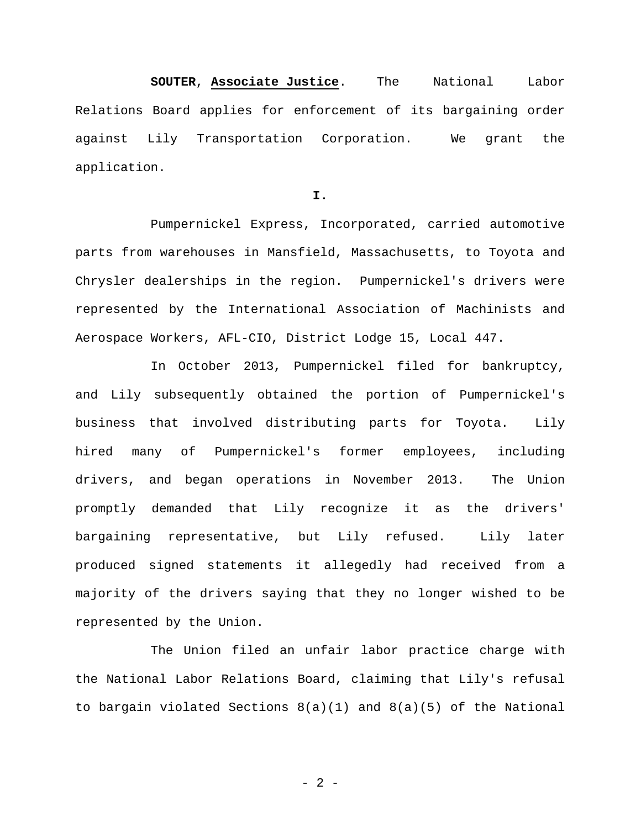**SOUTER**, **Associate Justice**. The National Labor Relations Board applies for enforcement of its bargaining order against Lily Transportation Corporation. We grant the application.

**I.** 

Pumpernickel Express, Incorporated, carried automotive parts from warehouses in Mansfield, Massachusetts, to Toyota and Chrysler dealerships in the region. Pumpernickel's drivers were represented by the International Association of Machinists and Aerospace Workers, AFL-CIO, District Lodge 15, Local 447.

In October 2013, Pumpernickel filed for bankruptcy, and Lily subsequently obtained the portion of Pumpernickel's business that involved distributing parts for Toyota. Lily hired many of Pumpernickel's former employees, including drivers, and began operations in November 2013. The Union promptly demanded that Lily recognize it as the drivers' bargaining representative, but Lily refused. Lily later produced signed statements it allegedly had received from a majority of the drivers saying that they no longer wished to be represented by the Union.

The Union filed an unfair labor practice charge with the National Labor Relations Board, claiming that Lily's refusal to bargain violated Sections 8(a)(1) and 8(a)(5) of the National

- 2 -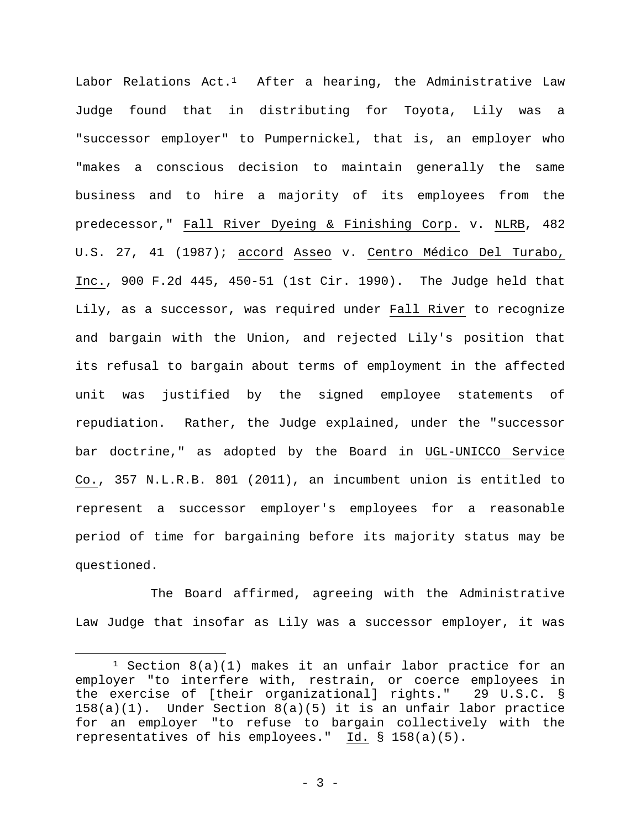Labor Relations  $Act.^1$  After a hearing, the Administrative Law Judge found that in distributing for Toyota, Lily was a "successor employer" to Pumpernickel, that is, an employer who "makes a conscious decision to maintain generally the same business and to hire a majority of its employees from the predecessor," Fall River Dyeing & Finishing Corp. v. NLRB, 482 U.S. 27, 41 (1987); accord Asseo v. Centro Médico Del Turabo, Inc., 900 F.2d 445, 450-51 (1st Cir. 1990). The Judge held that Lily, as a successor, was required under Fall River to recognize and bargain with the Union, and rejected Lily's position that its refusal to bargain about terms of employment in the affected unit was justified by the signed employee statements of repudiation. Rather, the Judge explained, under the "successor bar doctrine," as adopted by the Board in UGL-UNICCO Service Co., 357 N.L.R.B. 801 (2011), an incumbent union is entitled to represent a successor employer's employees for a reasonable period of time for bargaining before its majority status may be questioned.

The Board affirmed, agreeing with the Administrative Law Judge that insofar as Lily was a successor employer, it was

<sup>&</sup>lt;sup>1</sup> Section  $8(a)(1)$  makes it an unfair labor practice for an employer "to interfere with, restrain, or coerce employees in the exercise of [their organizational] rights." 29 U.S.C. § 158(a)(1). Under Section 8(a)(5) it is an unfair labor practice for an employer "to refuse to bargain collectively with the representatives of his employees." Id. § 158(a)(5).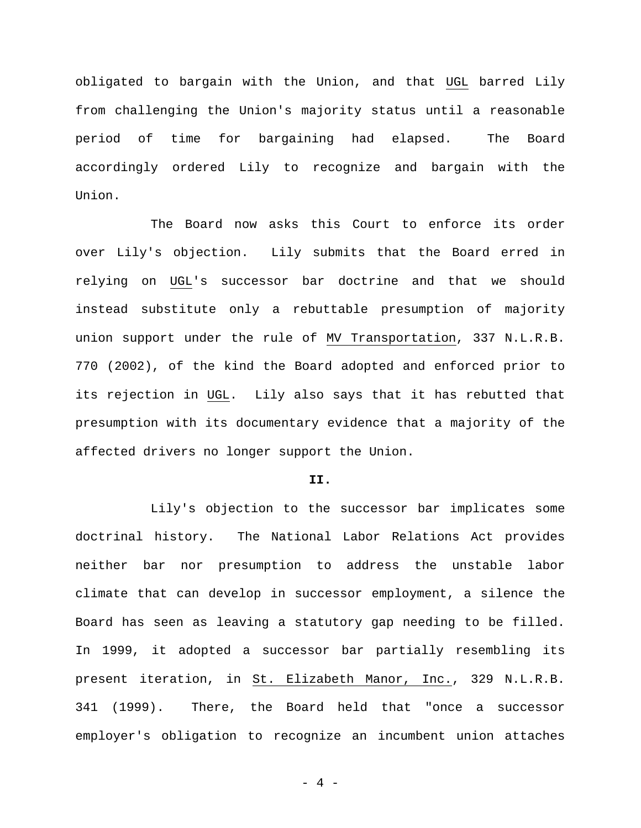obligated to bargain with the Union, and that UGL barred Lily from challenging the Union's majority status until a reasonable period of time for bargaining had elapsed. The Board accordingly ordered Lily to recognize and bargain with the Union.

The Board now asks this Court to enforce its order over Lily's objection. Lily submits that the Board erred in relying on UGL's successor bar doctrine and that we should instead substitute only a rebuttable presumption of majority union support under the rule of MV Transportation, 337 N.L.R.B. 770 (2002), of the kind the Board adopted and enforced prior to its rejection in UGL. Lily also says that it has rebutted that presumption with its documentary evidence that a majority of the affected drivers no longer support the Union.

### **II.**

Lily's objection to the successor bar implicates some doctrinal history. The National Labor Relations Act provides neither bar nor presumption to address the unstable labor climate that can develop in successor employment, a silence the Board has seen as leaving a statutory gap needing to be filled. In 1999, it adopted a successor bar partially resembling its present iteration, in St. Elizabeth Manor, Inc., 329 N.L.R.B. 341 (1999). There, the Board held that "once a successor employer's obligation to recognize an incumbent union attaches

- 4 -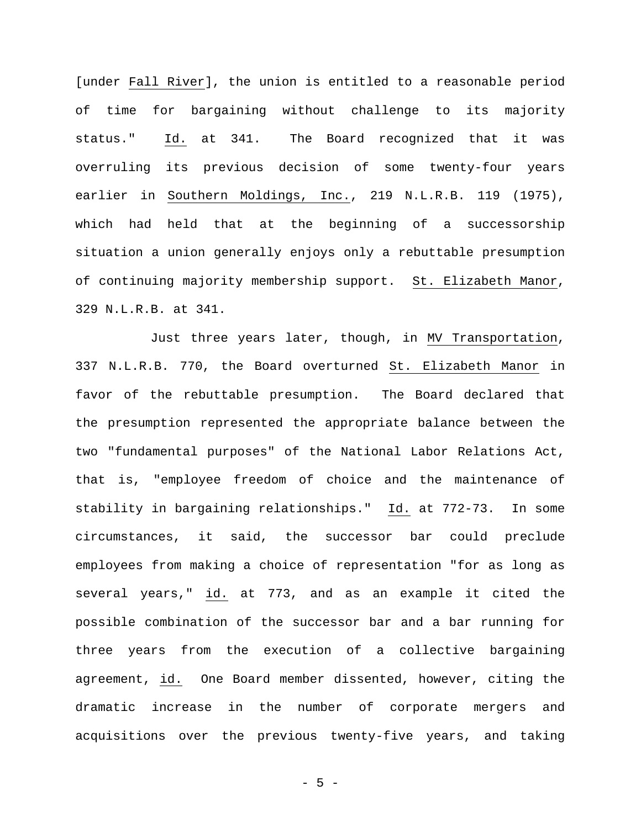[under Fall River], the union is entitled to a reasonable period of time for bargaining without challenge to its majority status." Id. at 341. The Board recognized that it was overruling its previous decision of some twenty-four years earlier in Southern Moldings, Inc., 219 N.L.R.B. 119 (1975), which had held that at the beginning of a successorship situation a union generally enjoys only a rebuttable presumption of continuing majority membership support. St. Elizabeth Manor, 329 N.L.R.B. at 341.

Just three years later, though, in MV Transportation, 337 N.L.R.B. 770, the Board overturned St. Elizabeth Manor in favor of the rebuttable presumption. The Board declared that the presumption represented the appropriate balance between the two "fundamental purposes" of the National Labor Relations Act, that is, "employee freedom of choice and the maintenance of stability in bargaining relationships." Id. at 772-73. In some circumstances, it said, the successor bar could preclude employees from making a choice of representation "for as long as several years," id. at 773, and as an example it cited the possible combination of the successor bar and a bar running for three years from the execution of a collective bargaining agreement, id. One Board member dissented, however, citing the dramatic increase in the number of corporate mergers and acquisitions over the previous twenty-five years, and taking

- 5 -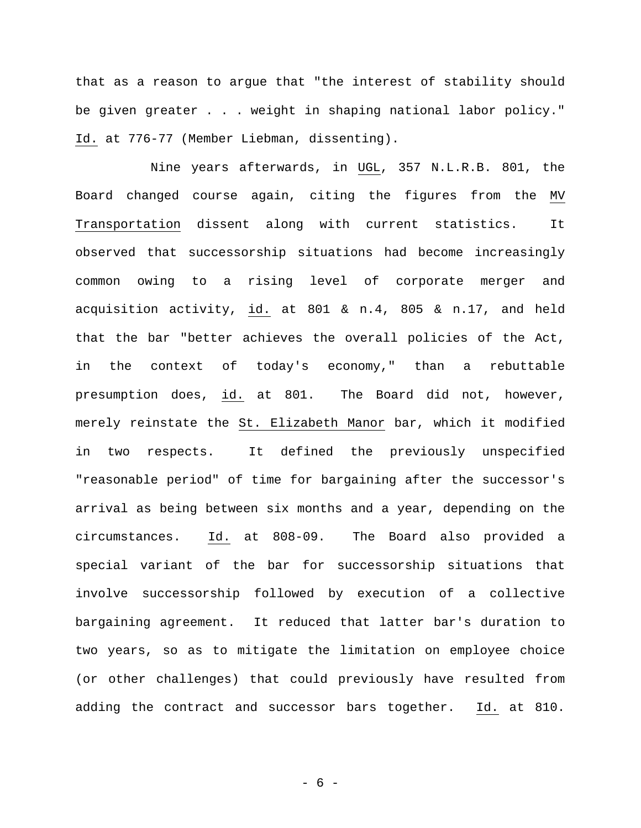that as a reason to argue that "the interest of stability should be given greater . . . weight in shaping national labor policy." Id. at 776-77 (Member Liebman, dissenting).

Nine years afterwards, in UGL, 357 N.L.R.B. 801, the Board changed course again, citing the figures from the MV Transportation dissent along with current statistics. It observed that successorship situations had become increasingly common owing to a rising level of corporate merger and acquisition activity, id. at 801 & n.4, 805 & n.17, and held that the bar "better achieves the overall policies of the Act, in the context of today's economy," than a rebuttable presumption does, id. at 801. The Board did not, however, merely reinstate the St. Elizabeth Manor bar, which it modified in two respects. It defined the previously unspecified "reasonable period" of time for bargaining after the successor's arrival as being between six months and a year, depending on the circumstances. Id. at 808-09. The Board also provided a special variant of the bar for successorship situations that involve successorship followed by execution of a collective bargaining agreement. It reduced that latter bar's duration to two years, so as to mitigate the limitation on employee choice (or other challenges) that could previously have resulted from adding the contract and successor bars together. Id. at 810.

- 6 -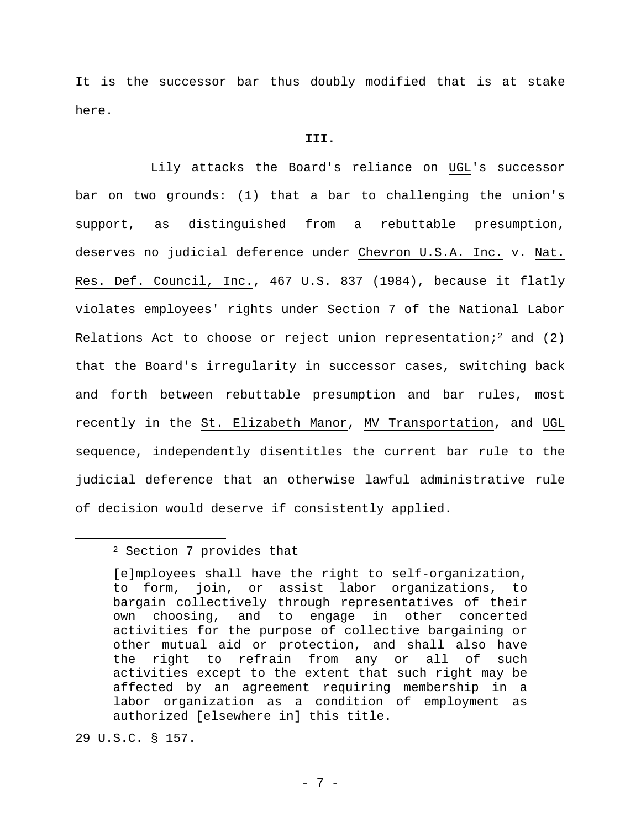It is the successor bar thus doubly modified that is at stake here.

### **III.**

Lily attacks the Board's reliance on UGL's successor bar on two grounds: (1) that a bar to challenging the union's support, as distinguished from a rebuttable presumption, deserves no judicial deference under Chevron U.S.A. Inc. v. Nat. Res. Def. Council, Inc., 467 U.S. 837 (1984), because it flatly violates employees' rights under Section 7 of the National Labor Relations Act to choose or reject union representation;<sup>2</sup> and (2) that the Board's irregularity in successor cases, switching back and forth between rebuttable presumption and bar rules, most recently in the St. Elizabeth Manor, MV Transportation, and UGL sequence, independently disentitles the current bar rule to the judicial deference that an otherwise lawful administrative rule of decision would deserve if consistently applied.

29 U.S.C. § 157.

<sup>2</sup> Section 7 provides that

<sup>[</sup>e]mployees shall have the right to self-organization, to form, join, or assist labor organizations, to bargain collectively through representatives of their own choosing, and to engage in other concerted activities for the purpose of collective bargaining or other mutual aid or protection, and shall also have the right to refrain from any or all of such activities except to the extent that such right may be affected by an agreement requiring membership in a labor organization as a condition of employment as authorized [elsewhere in] this title.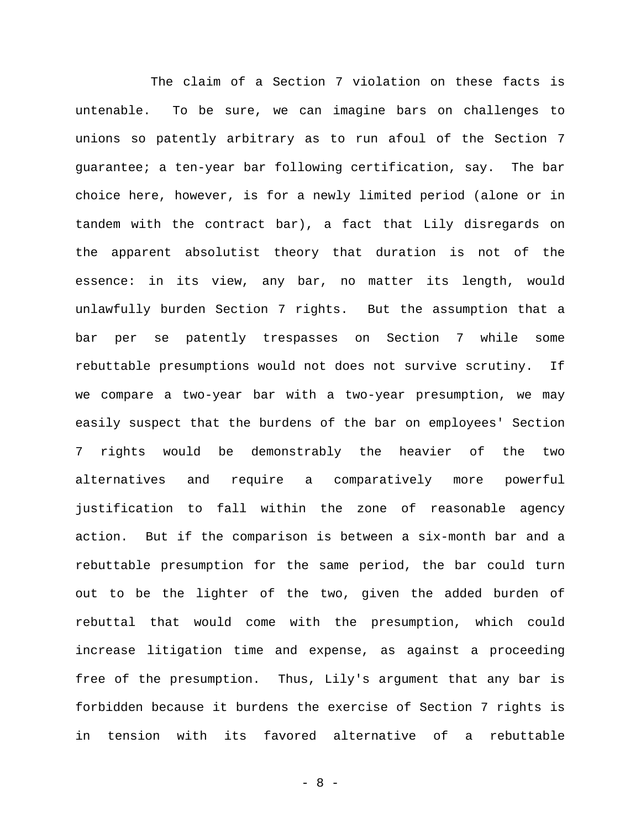The claim of a Section 7 violation on these facts is untenable. To be sure, we can imagine bars on challenges to unions so patently arbitrary as to run afoul of the Section 7 guarantee; a ten-year bar following certification, say. The bar choice here, however, is for a newly limited period (alone or in tandem with the contract bar), a fact that Lily disregards on the apparent absolutist theory that duration is not of the essence: in its view, any bar, no matter its length, would unlawfully burden Section 7 rights. But the assumption that a bar per se patently trespasses on Section 7 while some rebuttable presumptions would not does not survive scrutiny. If we compare a two-year bar with a two-year presumption, we may easily suspect that the burdens of the bar on employees' Section 7 rights would be demonstrably the heavier of the two alternatives and require a comparatively more powerful justification to fall within the zone of reasonable agency action. But if the comparison is between a six-month bar and a rebuttable presumption for the same period, the bar could turn out to be the lighter of the two, given the added burden of rebuttal that would come with the presumption, which could increase litigation time and expense, as against a proceeding free of the presumption. Thus, Lily's argument that any bar is forbidden because it burdens the exercise of Section 7 rights is in tension with its favored alternative of a rebuttable

- 8 -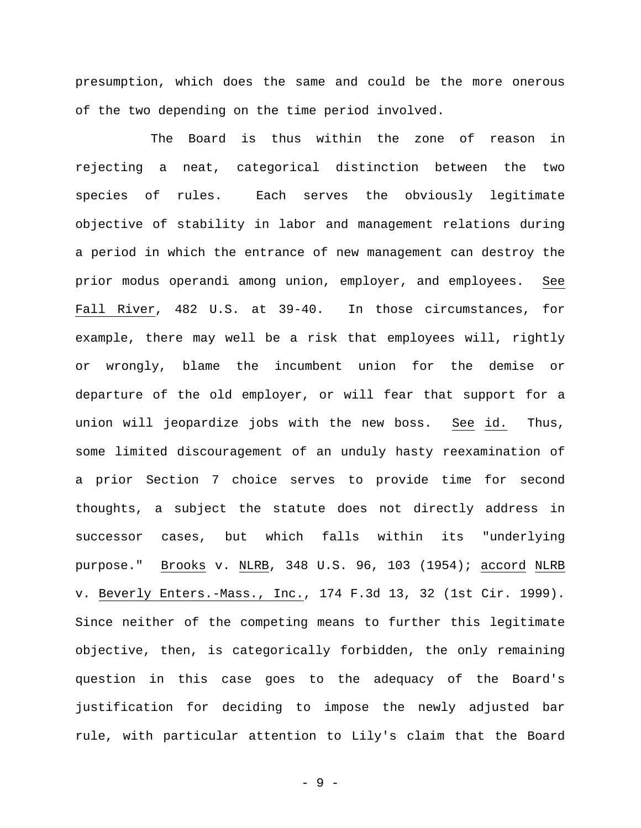presumption, which does the same and could be the more onerous of the two depending on the time period involved.

The Board is thus within the zone of reason in rejecting a neat, categorical distinction between the two species of rules. Each serves the obviously legitimate objective of stability in labor and management relations during a period in which the entrance of new management can destroy the prior modus operandi among union, employer, and employees. See Fall River, 482 U.S. at 39-40. In those circumstances, for example, there may well be a risk that employees will, rightly or wrongly, blame the incumbent union for the demise or departure of the old employer, or will fear that support for a union will jeopardize jobs with the new boss. See id. Thus, some limited discouragement of an unduly hasty reexamination of a prior Section 7 choice serves to provide time for second thoughts, a subject the statute does not directly address in successor cases, but which falls within its "underlying purpose." Brooks v. NLRB, 348 U.S. 96, 103 (1954); accord NLRB v. Beverly Enters.-Mass., Inc., 174 F.3d 13, 32 (1st Cir. 1999). Since neither of the competing means to further this legitimate objective, then, is categorically forbidden, the only remaining question in this case goes to the adequacy of the Board's justification for deciding to impose the newly adjusted bar rule, with particular attention to Lily's claim that the Board

- 9 -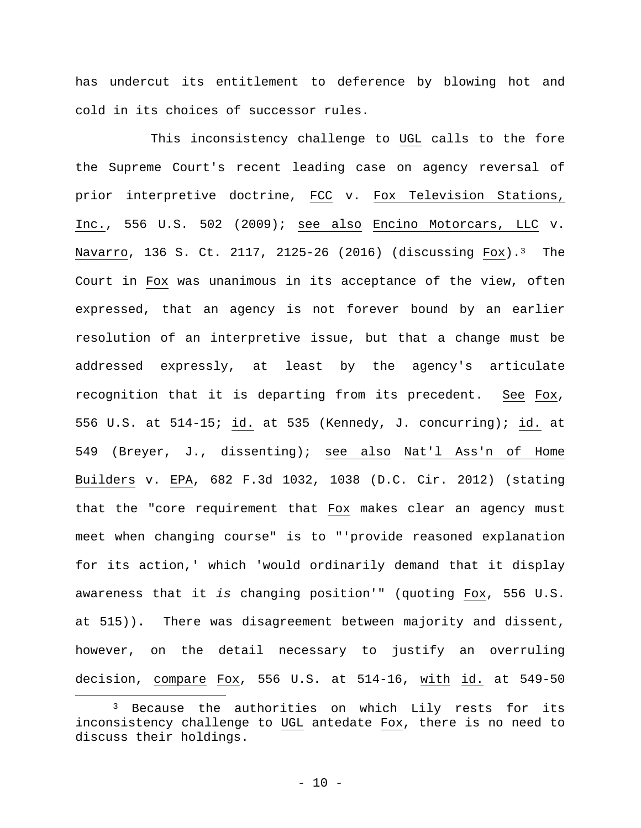has undercut its entitlement to deference by blowing hot and cold in its choices of successor rules.

This inconsistency challenge to UGL calls to the fore the Supreme Court's recent leading case on agency reversal of prior interpretive doctrine, FCC v. Fox Television Stations, Inc., 556 U.S. 502 (2009); see also Encino Motorcars, LLC v. Navarro, 136 S. Ct. 2117, 2125-26 (2016) (discussing Fox).<sup>3</sup> The Court in Fox was unanimous in its acceptance of the view, often expressed, that an agency is not forever bound by an earlier resolution of an interpretive issue, but that a change must be addressed expressly, at least by the agency's articulate recognition that it is departing from its precedent. See Fox, 556 U.S. at 514-15; id. at 535 (Kennedy, J. concurring); id. at 549 (Breyer, J., dissenting); see also Nat'l Ass'n of Home Builders v. EPA, 682 F.3d 1032, 1038 (D.C. Cir. 2012) (stating that the "core requirement that Fox makes clear an agency must meet when changing course" is to "'provide reasoned explanation for its action,' which 'would ordinarily demand that it display awareness that it *is* changing position'" (quoting Fox, 556 U.S. at 515))**.** There was disagreement between majority and dissent, however, on the detail necessary to justify an overruling decision, compare Fox, 556 U.S. at 514-16, with id. at 549-50

<sup>3</sup> Because the authorities on which Lily rests for its inconsistency challenge to UGL antedate Fox, there is no need to discuss their holdings.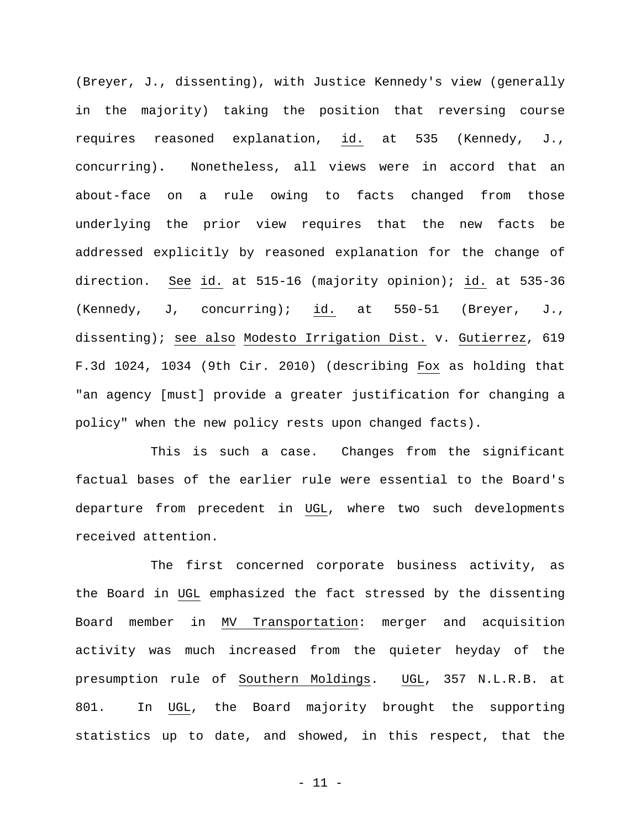(Breyer, J., dissenting), with Justice Kennedy's view (generally in the majority) taking the position that reversing course requires reasoned explanation, id. at 535 (Kennedy, J., concurring)**.** Nonetheless, all views were in accord that an about-face on a rule owing to facts changed from those underlying the prior view requires that the new facts be addressed explicitly by reasoned explanation for the change of direction. See id. at 515-16 (majority opinion); id. at 535-36 (Kennedy, J, concurring); id. at 550-51 (Breyer, J., dissenting); see also Modesto Irrigation Dist. v. Gutierrez, 619 F.3d 1024, 1034 (9th Cir. 2010) (describing Fox as holding that "an agency [must] provide a greater justification for changing a policy" when the new policy rests upon changed facts).

This is such a case. Changes from the significant factual bases of the earlier rule were essential to the Board's departure from precedent in UGL, where two such developments received attention.

The first concerned corporate business activity, as the Board in UGL emphasized the fact stressed by the dissenting Board member in MV Transportation: merger and acquisition activity was much increased from the quieter heyday of the presumption rule of Southern Moldings. UGL, 357 N.L.R.B. at 801. In UGL, the Board majority brought the supporting statistics up to date, and showed, in this respect, that the

- 11 -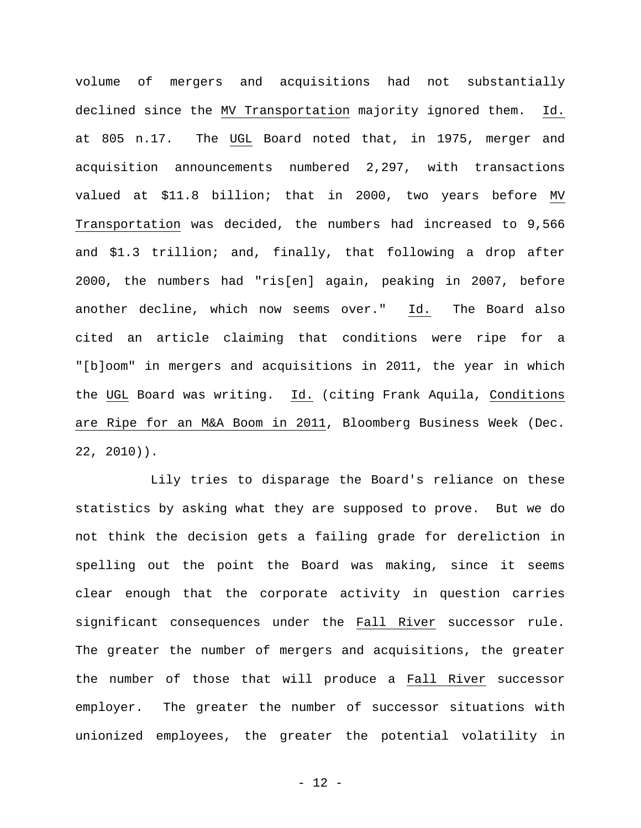volume of mergers and acquisitions had not substantially declined since the MV Transportation majority ignored them. Id. at 805 n.17. The UGL Board noted that, in 1975, merger and acquisition announcements numbered 2,297, with transactions valued at \$11.8 billion; that in 2000, two years before MV Transportation was decided, the numbers had increased to 9,566 and \$1.3 trillion; and, finally, that following a drop after 2000, the numbers had "ris[en] again, peaking in 2007, before another decline, which now seems over." Id. The Board also cited an article claiming that conditions were ripe for a "[b]oom" in mergers and acquisitions in 2011, the year in which the UGL Board was writing. Id. (citing Frank Aquila, Conditions are Ripe for an M&A Boom in 2011, Bloomberg Business Week (Dec. 22, 2010)).

Lily tries to disparage the Board's reliance on these statistics by asking what they are supposed to prove. But we do not think the decision gets a failing grade for dereliction in spelling out the point the Board was making, since it seems clear enough that the corporate activity in question carries significant consequences under the Fall River successor rule. The greater the number of mergers and acquisitions, the greater the number of those that will produce a Fall River successor employer. The greater the number of successor situations with unionized employees, the greater the potential volatility in

- 12 -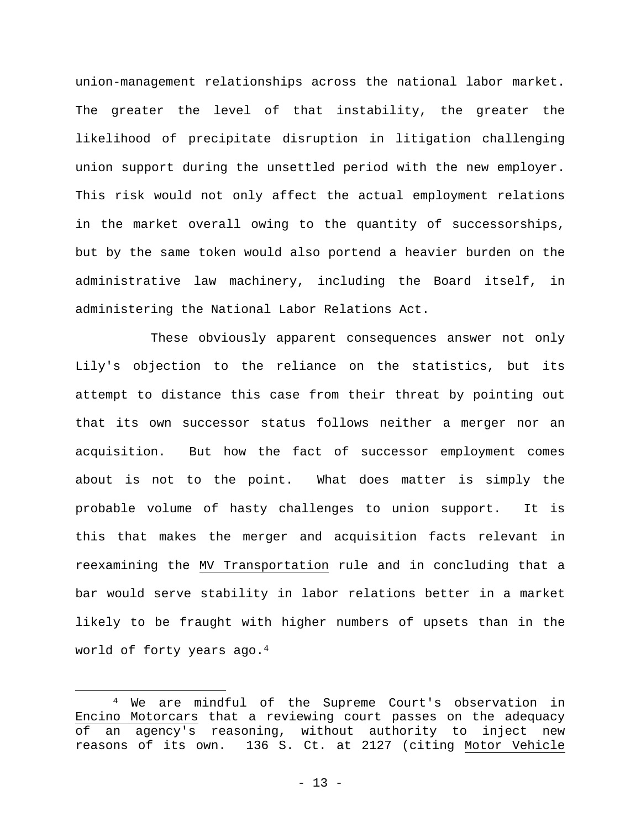union-management relationships across the national labor market. The greater the level of that instability, the greater the likelihood of precipitate disruption in litigation challenging union support during the unsettled period with the new employer. This risk would not only affect the actual employment relations in the market overall owing to the quantity of successorships, but by the same token would also portend a heavier burden on the administrative law machinery, including the Board itself, in administering the National Labor Relations Act.

These obviously apparent consequences answer not only Lily's objection to the reliance on the statistics, but its attempt to distance this case from their threat by pointing out that its own successor status follows neither a merger nor an acquisition. But how the fact of successor employment comes about is not to the point. What does matter is simply the probable volume of hasty challenges to union support. It is this that makes the merger and acquisition facts relevant in reexamining the MV Transportation rule and in concluding that a bar would serve stability in labor relations better in a market likely to be fraught with higher numbers of upsets than in the world of forty years ago.4

<sup>4</sup> We are mindful of the Supreme Court's observation in Encino Motorcars that a reviewing court passes on the adequacy of an agency's reasoning, without authority to inject new reasons of its own. 136 S. Ct. at 2127 (citing Motor Vehicle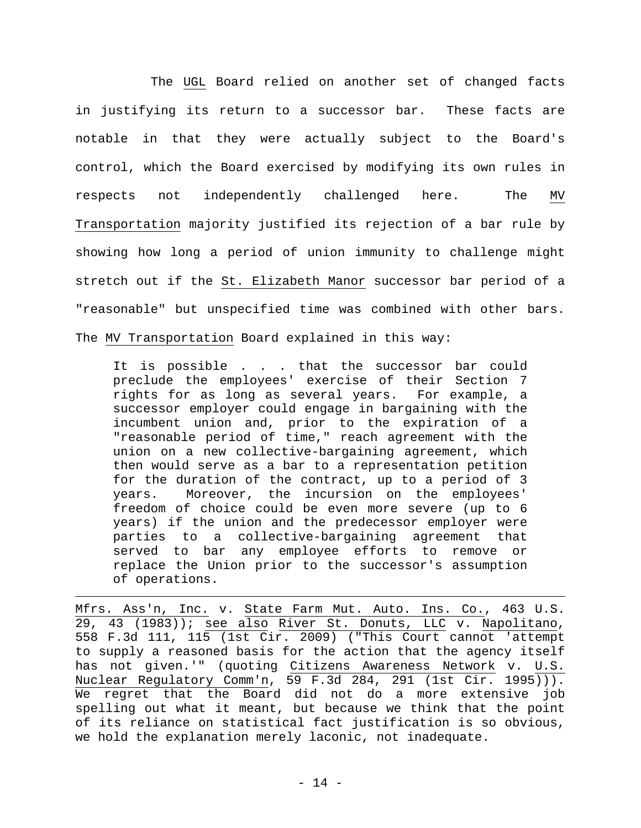The UGL Board relied on another set of changed facts in justifying its return to a successor bar. These facts are notable in that they were actually subject to the Board's control, which the Board exercised by modifying its own rules in respects not independently challenged here. The MV Transportation majority justified its rejection of a bar rule by showing how long a period of union immunity to challenge might stretch out if the St. Elizabeth Manor successor bar period of a "reasonable" but unspecified time was combined with other bars. The MV Transportation Board explained in this way:

It is possible . . . that the successor bar could preclude the employees' exercise of their Section 7 rights for as long as several years. For example, a successor employer could engage in bargaining with the incumbent union and, prior to the expiration of a "reasonable period of time," reach agreement with the union on a new collective-bargaining agreement, which then would serve as a bar to a representation petition for the duration of the contract, up to a period of 3 years. Moreover, the incursion on the employees' freedom of choice could be even more severe (up to 6 years) if the union and the predecessor employer were parties to a collective-bargaining agreement that served to bar any employee efforts to remove or replace the Union prior to the successor's assumption of operations.

Mfrs. Ass'n, Inc. v. State Farm Mut. Auto. Ins. Co., 463 U.S. 29, 43 (1983)); see also River St. Donuts, LLC v. Napolitano, 558 F.3d 111, 115 (1st Cir. 2009) ("This Court cannot 'attempt to supply a reasoned basis for the action that the agency itself has not given.'" (quoting Citizens Awareness Network v. U.S. Nuclear Regulatory Comm'n, 59 F.3d 284, 291 (1st Cir. 1995))). We regret that the Board did not do a more extensive job spelling out what it meant, but because we think that the point of its reliance on statistical fact justification is so obvious, we hold the explanation merely laconic, not inadequate.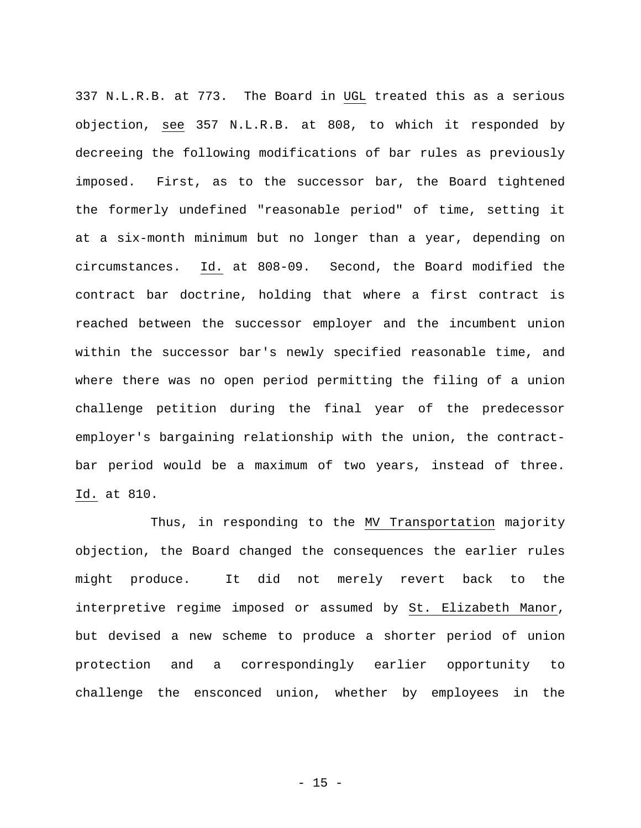337 N.L.R.B. at 773. The Board in UGL treated this as a serious objection, see 357 N.L.R.B. at 808, to which it responded by decreeing the following modifications of bar rules as previously imposed. First, as to the successor bar, the Board tightened the formerly undefined "reasonable period" of time, setting it at a six-month minimum but no longer than a year, depending on circumstances. Id. at 808-09. Second, the Board modified the contract bar doctrine, holding that where a first contract is reached between the successor employer and the incumbent union within the successor bar's newly specified reasonable time, and where there was no open period permitting the filing of a union challenge petition during the final year of the predecessor employer's bargaining relationship with the union, the contractbar period would be a maximum of two years, instead of three. Id. at 810.

Thus, in responding to the MV Transportation majority objection, the Board changed the consequences the earlier rules might produce. It did not merely revert back to the interpretive regime imposed or assumed by St. Elizabeth Manor, but devised a new scheme to produce a shorter period of union protection and a correspondingly earlier opportunity to challenge the ensconced union, whether by employees in the

 $- 15 -$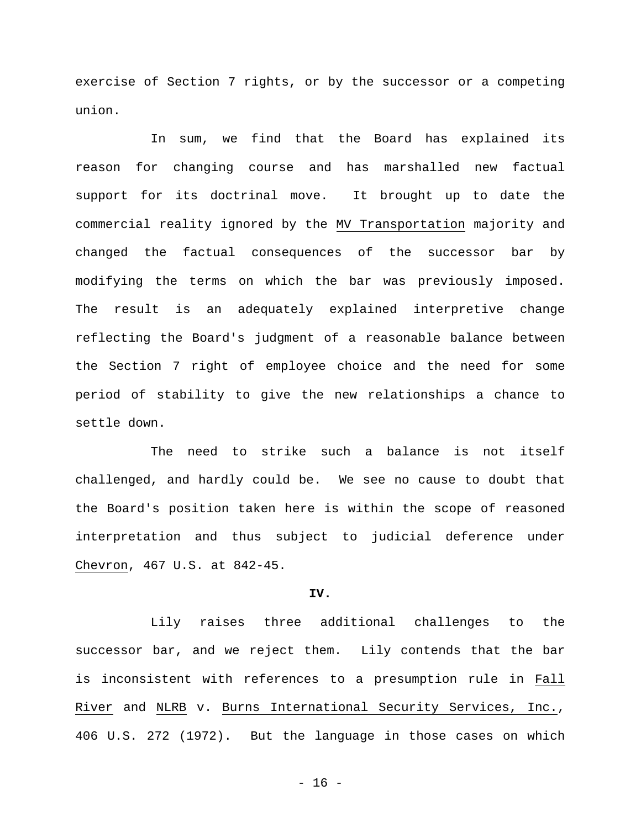exercise of Section 7 rights, or by the successor or a competing union.

In sum, we find that the Board has explained its reason for changing course and has marshalled new factual support for its doctrinal move. It brought up to date the commercial reality ignored by the MV Transportation majority and changed the factual consequences of the successor bar by modifying the terms on which the bar was previously imposed. The result is an adequately explained interpretive change reflecting the Board's judgment of a reasonable balance between the Section 7 right of employee choice and the need for some period of stability to give the new relationships a chance to settle down.

The need to strike such a balance is not itself challenged, and hardly could be. We see no cause to doubt that the Board's position taken here is within the scope of reasoned interpretation and thus subject to judicial deference under Chevron, 467 U.S. at 842-45.

## **IV.**

Lily raises three additional challenges to the successor bar, and we reject them. Lily contends that the bar is inconsistent with references to a presumption rule in Fall River and NLRB v. Burns International Security Services, Inc., 406 U.S. 272 (1972). But the language in those cases on which